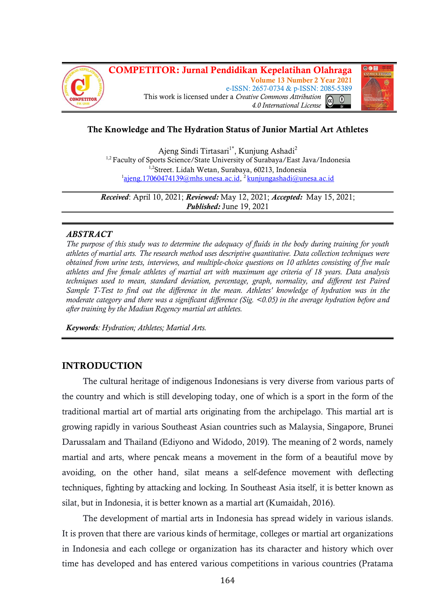



# **The Knowledge and The Hydration Status of Junior Martial Art Athletes**

Ajeng Sindi Tirtasari<sup>1\*</sup>, Kunjung Ashadi<sup>2</sup> <sup>1,2</sup> Faculty of Sports Science/State University of Surabaya/East Java/Indonesia <sup>1,2</sup>Street. Lidah Wetan, Surabaya, 60213, Indonesia <sup>1</sup>ajeng. 17060474139@mhs.unesa.ac.id, <sup>2</sup>[kunjungashadi@unesa.ac.id](mailto:kunjungashadi@unesa.ac.id)

*Received*: April 10, 2021; *Reviewed:* May 12, 2021; *Accepted:* May 15, 2021; *Published:* June 19, 2021

#### *ABSTRACT*

*The purpose of this study was to determine the adequacy of fluids in the body during training for youth athletes of martial arts. The research method uses descriptive quantitative. Data collection techniques were obtained from urine tests, interviews, and multiple-choice questions on 10 athletes consisting of five male athletes and five female athletes of martial art with maximum age criteria of 18 years. Data analysis techniques used to mean, standard deviation, percentage, graph, normality, and different test Paired Sample T-Test to find out the difference in the mean. Athletes' knowledge of hydration was in the moderate category and there was a significant difference (Sig. <0.05) in the average hydration before and after training by the Madiun Regency martial art athletes.*

*Keywords: Hydration; Athletes; Martial Arts.*

# **INTRODUCTION**

The cultural heritage of indigenous Indonesians is very diverse from various parts of the country and which is still developing today, one of which is a sport in the form of the traditional martial art of martial arts originating from the archipelago. This martial art is growing rapidly in various Southeast Asian countries such as Malaysia, Singapore, Brunei Darussalam and Thailand (Ediyono and Widodo, 2019). The meaning of 2 words, namely martial and arts, where pencak means a movement in the form of a beautiful move by avoiding, on the other hand, silat means a self-defence movement with deflecting techniques, fighting by attacking and locking. In Southeast Asia itself, it is better known as silat, but in Indonesia, it is better known as a martial art (Kumaidah, 2016).

The development of martial arts in Indonesia has spread widely in various islands. It is proven that there are various kinds of hermitage, colleges or martial art organizations in Indonesia and each college or organization has its character and history which over time has developed and has entered various competitions in various countries (Pratama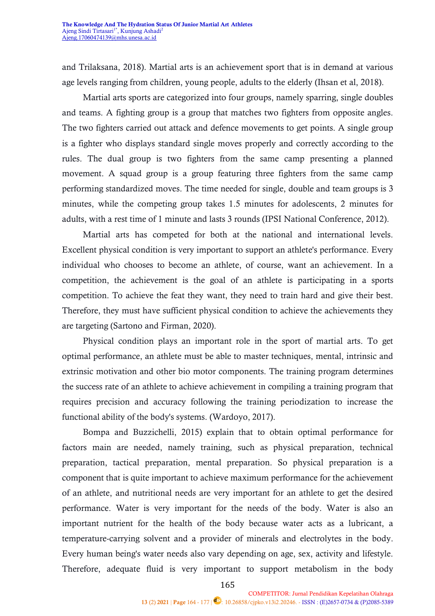and Trilaksana, 2018). Martial arts is an achievement sport that is in demand at various age levels ranging from children, young people, adults to the elderly (Ihsan et al, 2018).

Martial arts sports are categorized into four groups, namely sparring, single doubles and teams. A fighting group is a group that matches two fighters from opposite angles. The two fighters carried out attack and defence movements to get points. A single group is a fighter who displays standard single moves properly and correctly according to the rules. The dual group is two fighters from the same camp presenting a planned movement. A squad group is a group featuring three fighters from the same camp performing standardized moves. The time needed for single, double and team groups is 3 minutes, while the competing group takes 1.5 minutes for adolescents, 2 minutes for adults, with a rest time of 1 minute and lasts 3 rounds (IPSI National Conference, 2012).

Martial arts has competed for both at the national and international levels. Excellent physical condition is very important to support an athlete's performance. Every individual who chooses to become an athlete, of course, want an achievement. In a competition, the achievement is the goal of an athlete is participating in a sports competition. To achieve the feat they want, they need to train hard and give their best. Therefore, they must have sufficient physical condition to achieve the achievements they are targeting (Sartono and Firman, 2020).

Physical condition plays an important role in the sport of martial arts. To get optimal performance, an athlete must be able to master techniques, mental, intrinsic and extrinsic motivation and other bio motor components. The training program determines the success rate of an athlete to achieve achievement in compiling a training program that requires precision and accuracy following the training periodization to increase the functional ability of the body's systems. (Wardoyo, 2017).

Bompa and Buzzichelli, 2015) explain that to obtain optimal performance for factors main are needed, namely training, such as physical preparation, technical preparation, tactical preparation, mental preparation. So physical preparation is a component that is quite important to achieve maximum performance for the achievement of an athlete, and nutritional needs are very important for an athlete to get the desired performance. Water is very important for the needs of the body. Water is also an important nutrient for the health of the body because water acts as a lubricant, a temperature-carrying solvent and a provider of minerals and electrolytes in the body. Every human being's water needs also vary depending on age, sex, activity and lifestyle. Therefore, adequate fluid is very important to support metabolism in the body

165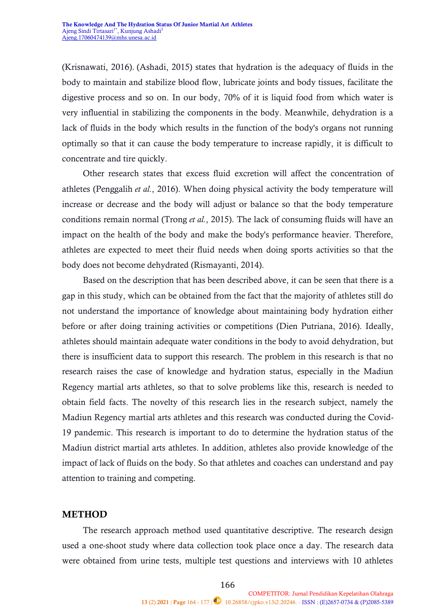(Krisnawati, 2016). (Ashadi, 2015) states that hydration is the adequacy of fluids in the body to maintain and stabilize blood flow, lubricate joints and body tissues, facilitate the digestive process and so on. In our body, 70% of it is liquid food from which water is very influential in stabilizing the components in the body. Meanwhile, dehydration is a lack of fluids in the body which results in the function of the body's organs not running optimally so that it can cause the body temperature to increase rapidly, it is difficult to concentrate and tire quickly.

Other research states that excess fluid excretion will affect the concentration of athletes (Penggalih *et al.*, 2016). When doing physical activity the body temperature will increase or decrease and the body will adjust or balance so that the body temperature conditions remain normal (Trong *et al.*, 2015). The lack of consuming fluids will have an impact on the health of the body and make the body's performance heavier. Therefore, athletes are expected to meet their fluid needs when doing sports activities so that the body does not become dehydrated (Rismayanti, 2014).

Based on the description that has been described above, it can be seen that there is a gap in this study, which can be obtained from the fact that the majority of athletes still do not understand the importance of knowledge about maintaining body hydration either before or after doing training activities or competitions (Dien Putriana, 2016). Ideally, athletes should maintain adequate water conditions in the body to avoid dehydration, but there is insufficient data to support this research. The problem in this research is that no research raises the case of knowledge and hydration status, especially in the Madiun Regency martial arts athletes, so that to solve problems like this, research is needed to obtain field facts. The novelty of this research lies in the research subject, namely the Madiun Regency martial arts athletes and this research was conducted during the Covid-19 pandemic. This research is important to do to determine the hydration status of the Madiun district martial arts athletes. In addition, athletes also provide knowledge of the impact of lack of fluids on the body. So that athletes and coaches can understand and pay attention to training and competing.

## **METHOD**

The research approach method used quantitative descriptive. The research design used a one-shoot study where data collection took place once a day. The research data were obtained from urine tests, multiple test questions and interviews with 10 athletes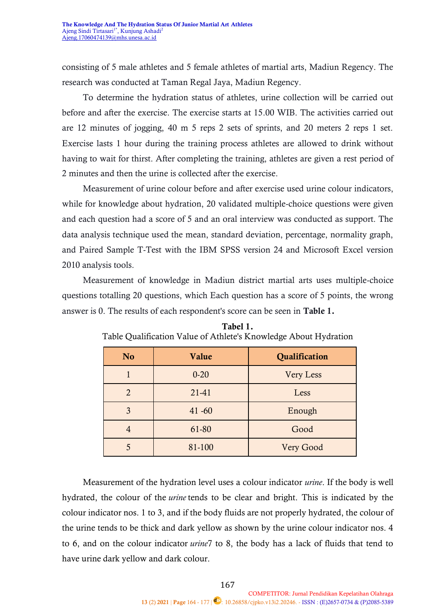consisting of 5 male athletes and 5 female athletes of martial arts, Madiun Regency. The research was conducted at Taman Regal Jaya, Madiun Regency.

To determine the hydration status of athletes, urine collection will be carried out before and after the exercise. The exercise starts at 15.00 WIB. The activities carried out are 12 minutes of jogging, 40 m 5 reps 2 sets of sprints, and 20 meters 2 reps 1 set. Exercise lasts 1 hour during the training process athletes are allowed to drink without having to wait for thirst. After completing the training, athletes are given a rest period of 2 minutes and then the urine is collected after the exercise.

Measurement of urine colour before and after exercise used urine colour indicators, while for knowledge about hydration, 20 validated multiple-choice questions were given and each question had a score of 5 and an oral interview was conducted as support. The data analysis technique used the mean, standard deviation, percentage, normality graph, and Paired Sample T-Test with the IBM SPSS version 24 and Microsoft Excel version 2010 analysis tools.

Measurement of knowledge in Madiun district martial arts uses multiple-choice questions totalling 20 questions, which Each question has a score of 5 points, the wrong answer is 0. The results of each respondent's score can be seen in **Table 1.**

| N <sub>o</sub> | Value     | Qualification    |  |  |
|----------------|-----------|------------------|--|--|
|                | $0 - 20$  | <b>Very Less</b> |  |  |
| $\mathfrak{D}$ | 21-41     | Less             |  |  |
| 3              | $41 - 60$ | Enough           |  |  |
|                | 61-80     | Good             |  |  |
|                | 81-100    | Very Good        |  |  |

**Tabel 1.** Table Qualification Value of Athlete's Knowledge About Hydration

Measurement of the hydration level uses a colour indicator *urine*. If the body is well hydrated, the colour of the *urine* tends to be clear and bright. This is indicated by the colour indicator nos. 1 to 3, and if the body fluids are not properly hydrated, the colour of the urine tends to be thick and dark yellow as shown by the urine colour indicator nos. 4 to 6, and on the colour indicator *urine*7 to 8, the body has a lack of fluids that tend to have urine dark yellow and dark colour.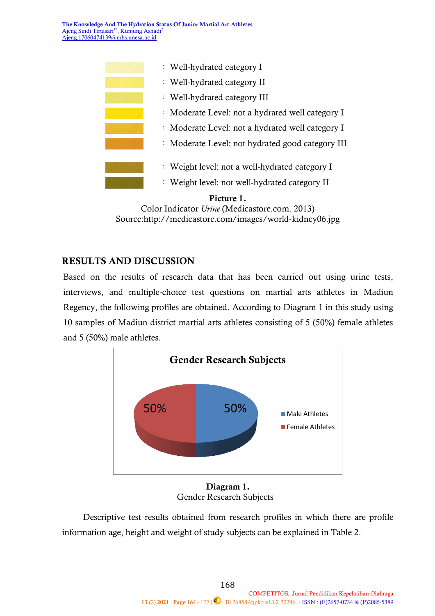**The Knowledge And The Hydration Status Of Junior Martial Art Athletes** Ajeng Sindi Tirtasari<sup>1\*</sup>, Kunjung Ashadi<sup>2</sup> Ajeng.17060474139@mhs.unesa.ac.id



Color Indicator *Urine* (Medicastore.com. 2013) Source[:http://medicastore.com/images/world-kidney06.jpg](http://medicastore.com/images/world-kidney06.jpg)

# **RESULTS AND DISCUSSION**

Based on the results of research data that has been carried out using urine tests, interviews, and multiple-choice test questions on martial arts athletes in Madiun Regency, the following profiles are obtained. According to Diagram 1 in this study using 10 samples of Madiun district martial arts athletes consisting of 5 (50%) female athletes and 5 (50%) male athletes.



**Diagram 1.** Gender Research Subjects

Descriptive test results obtained from research profiles in which there are profile information age, height and weight of study subjects can be explained in Table 2.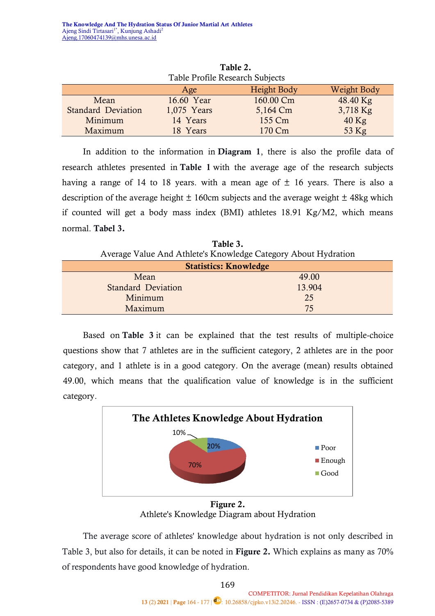| Table 2.                          |             |           |          |  |  |
|-----------------------------------|-------------|-----------|----------|--|--|
| Table Profile Research Subjects   |             |           |          |  |  |
| Weight Body<br>Height Body<br>Age |             |           |          |  |  |
| Mean                              | 16.60 Year  | 160.00 Cm | 48.40 Kg |  |  |
| <b>Standard Deviation</b>         | 1,075 Years | 5,164 Cm  | 3,718 Kg |  |  |
| Minimum                           | 14 Years    | 155 Cm    | $40$ Kg  |  |  |
| Maximum                           | 18 Years    | 170 Cm    | 53 Kg    |  |  |

**Table 2.**

In addition to the information in **Diagram 1**, there is also the profile data of research athletes presented in **Table 1** with the average age of the research subjects having a range of 14 to 18 years. with a mean age of  $\pm$  16 years. There is also a description of the average height  $\pm$  160cm subjects and the average weight  $\pm$  48kg which if counted will get a body mass index (BMI) athletes 18.91 Kg/M2, which means normal. **Tabel 3.**

**Table 3.** Average Value And Athlete's Knowledge Category About Hydration

| <b>Statistics: Knowledge</b> |        |  |  |  |
|------------------------------|--------|--|--|--|
| Mean                         | 49.00  |  |  |  |
| <b>Standard Deviation</b>    | 13.904 |  |  |  |
| Minimum                      | 25     |  |  |  |
| Maximum                      | 75     |  |  |  |

Based on **Table 3** it can be explained that the test results of multiple-choice questions show that 7 athletes are in the sufficient category, 2 athletes are in the poor category, and 1 athlete is in a good category. On the average (mean) results obtained 49.00, which means that the qualification value of knowledge is in the sufficient category.



Athlete's Knowledge Diagram about Hydration

The average score of athletes' knowledge about hydration is not only described in Table 3, but also for details, it can be noted in **Figure 2.** Which explains as many as 70% of respondents have good knowledge of hydration.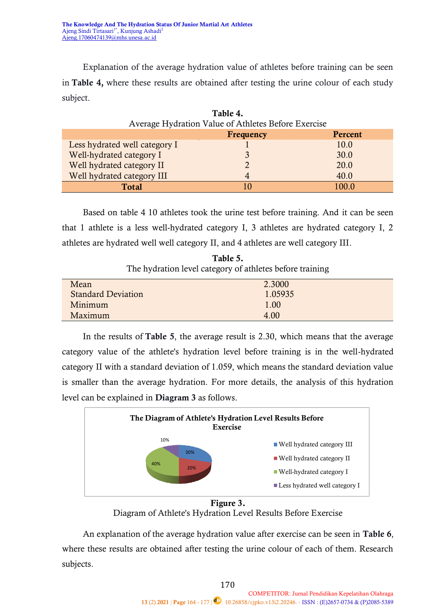Explanation of the average hydration value of athletes before training can be seen in **Table 4,** where these results are obtained after testing the urine colour of each study subject.

**Table 4.**

| 1 ADIC 4.<br>Average Hydration Value of Athletes Before Exercise |                |         |  |  |  |
|------------------------------------------------------------------|----------------|---------|--|--|--|
|                                                                  |                |         |  |  |  |
|                                                                  | Frequency      | Percent |  |  |  |
| Less hydrated well category I                                    |                | 10.0    |  |  |  |
| Well-hydrated category I                                         |                | 30.0    |  |  |  |
| Well hydrated category II                                        |                | 20.0    |  |  |  |
| Well hydrated category III                                       |                | 40.0    |  |  |  |
| <b>Total</b>                                                     | $\blacksquare$ | 100.0   |  |  |  |

Based on table 4 10 athletes took the urine test before training. And it can be seen that 1 athlete is a less well-hydrated category I, 3 athletes are hydrated category I, 2 athletes are hydrated well well category II, and 4 athletes are well category III.

**Table 5.** The hydration level category of athletes before training

| Mean                      | 2.3000  |
|---------------------------|---------|
| <b>Standard Deviation</b> | 1.05935 |
| Minimum                   | 1.00    |
| Maximum                   | 4.00    |

In the results of **Table 5**, the average result is 2.30, which means that the average category value of the athlete's hydration level before training is in the well-hydrated category II with a standard deviation of 1.059, which means the standard deviation value is smaller than the average hydration. For more details, the analysis of this hydration level can be explained in **Diagram 3** as follows.



**Figure 3.** Diagram of Athlete's Hydration Level Results Before Exercise

An explanation of the average hydration value after exercise can be seen in **Table 6**, where these results are obtained after testing the urine colour of each of them. Research subjects.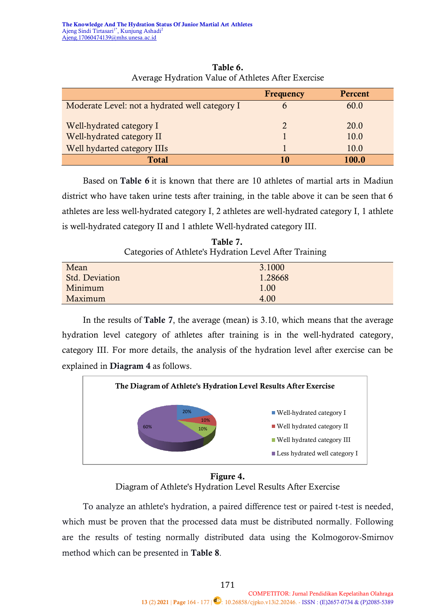|                                                | <b>Frequency</b>      | Percent |
|------------------------------------------------|-----------------------|---------|
| Moderate Level: not a hydrated well category I |                       | 60.0    |
| Well-hydrated category I                       | $\mathcal{D}_{\cdot}$ | 20.0    |
| Well-hydrated category II                      |                       | 10.0    |
| Well hydarted category IIIs                    |                       | 10.0    |
| <b>Total</b>                                   | 10                    | 100.0   |

**Table 6.** Average Hydration Value of Athletes After Exercise

Based on **Table 6** it is known that there are 10 athletes of martial arts in Madiun district who have taken urine tests after training, in the table above it can be seen that 6 athletes are less well-hydrated category I, 2 athletes are well-hydrated category I, 1 athlete is well-hydrated category II and 1 athlete Well-hydrated category III.

**Table 7.** Categories of Athlete's Hydration Level After Training

| Mean           | 3.1000  |
|----------------|---------|
| Std. Deviation | 1.28668 |
| Minimum        | 1.00    |
| Maximum        | 4.00    |

In the results of **Table 7**, the average (mean) is 3.10, which means that the average hydration level category of athletes after training is in the well-hydrated category, category III. For more details, the analysis of the hydration level after exercise can be explained in **Diagram 4** as follows.



**Figure 4.** Diagram of Athlete's Hydration Level Results After Exercise

To analyze an athlete's hydration, a paired difference test or paired t-test is needed, which must be proven that the processed data must be distributed normally. Following are the results of testing normally distributed data using the Kolmogorov-Smirnov method which can be presented in **Table 8**.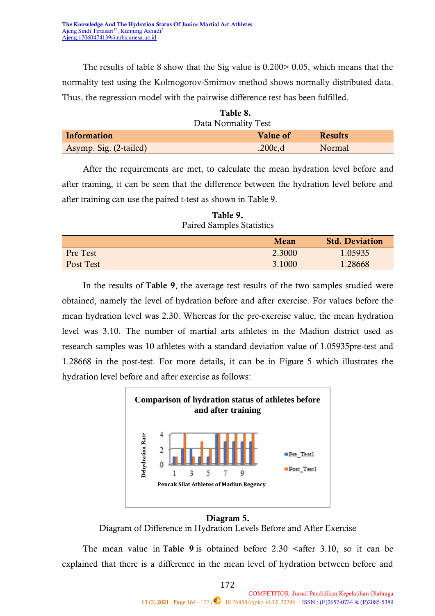The results of table 8 show that the Sig value is 0.200> 0.05, which means that the normality test using the Kolmogorov-Smirnov method shows normally distributed data. Thus, the regression model with the pairwise difference test has been fulfilled.

| Table 8.                                         |         |        |  |  |  |
|--------------------------------------------------|---------|--------|--|--|--|
| Data Normality Test                              |         |        |  |  |  |
| <b>Information</b><br>Value of<br><b>Results</b> |         |        |  |  |  |
| Asymp. Sig. (2-tailed)                           | .200c,d | Normal |  |  |  |

After the requirements are met, to calculate the mean hydration level before and after training, it can be seen that the difference between the hydration level before and after training can use the paired t-test as shown in Table 9.

| .         |        |                       |  |  |
|-----------|--------|-----------------------|--|--|
|           | Mean   | <b>Std. Deviation</b> |  |  |
| Pre Test  | 2.3000 | 1.05935               |  |  |
| Post Test | 3.1000 | 1.28668               |  |  |

**Table 9.** Paired Samples Statistics

In the results of **Table 9**, the average test results of the two samples studied were obtained, namely the level of hydration before and after exercise. For values before the mean hydration level was 2.30. Whereas for the pre-exercise value, the mean hydration level was 3.10. The number of martial arts athletes in the Madiun district used as research samples was 10 athletes with a standard deviation value of 1.05935pre-test and 1.28668 in the post-test. For more details, it can be in Figure 5 which illustrates the hydration level before and after exercise as follows:



## **Diagram 5.**

Diagram of Difference in Hydration Levels Before and After Exercise

The mean value in **Table 9** is obtained before  $2.30$   $\leq$  after  $3.10$ , so it can be explained that there is a difference in the mean level of hydration between before and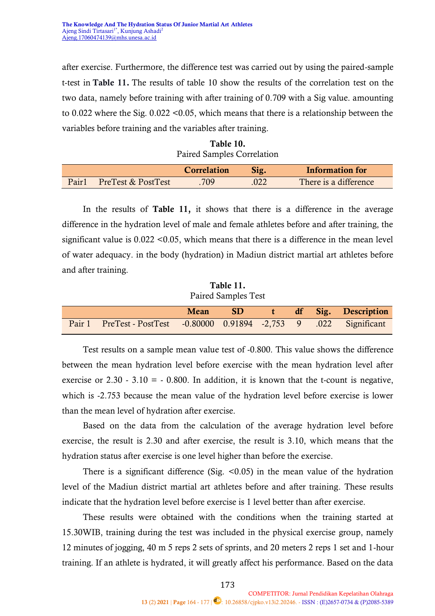after exercise. Furthermore, the difference test was carried out by using the paired-sample t-test in **Table 11.** The results of table 10 show the results of the correlation test on the two data, namely before training with after training of 0.709 with a Sig value. amounting to 0.022 where the Sig. 0.022 <0.05, which means that there is a relationship between the variables before training and the variables after training.

| Table 10.                  |
|----------------------------|
| Paired Samples Correlation |

|       |                    | <b>Correlation</b> | Sig. | Information for       |
|-------|--------------------|--------------------|------|-----------------------|
| Pair1 | PreTest & PostTest | 709                | .022 | There is a difference |

In the results of **Table 11,** it shows that there is a difference in the average difference in the hydration level of male and female athletes before and after training, the significant value is 0.022 <0.05, which means that there is a difference in the mean level of water adequacy. in the body (hydration) in Madiun district martial art athletes before and after training.

**Table 11.** Paired Samples Test

|                                                                        |  |  | Mean SD t df Sig. Description |
|------------------------------------------------------------------------|--|--|-------------------------------|
| Pair 1 PreTest - PostTest - 0.80000 0.91894 - 2,753 9 .022 Significant |  |  |                               |

Test results on a sample mean value test of -0.800. This value shows the difference between the mean hydration level before exercise with the mean hydration level after exercise or  $2.30 - 3.10 = -0.800$ . In addition, it is known that the t-count is negative, which is -2.753 because the mean value of the hydration level before exercise is lower than the mean level of hydration after exercise.

Based on the data from the calculation of the average hydration level before exercise, the result is 2.30 and after exercise, the result is 3.10, which means that the hydration status after exercise is one level higher than before the exercise.

There is a significant difference (Sig.  $\leq 0.05$ ) in the mean value of the hydration level of the Madiun district martial art athletes before and after training. These results indicate that the hydration level before exercise is 1 level better than after exercise.

These results were obtained with the conditions when the training started at 15.30WIB, training during the test was included in the physical exercise group, namely 12 minutes of jogging, 40 m 5 reps 2 sets of sprints, and 20 meters 2 reps 1 set and 1-hour training. If an athlete is hydrated, it will greatly affect his performance. Based on the data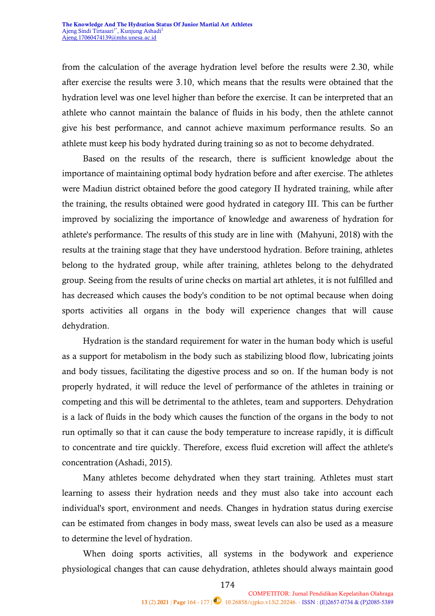from the calculation of the average hydration level before the results were 2.30, while after exercise the results were 3.10, which means that the results were obtained that the hydration level was one level higher than before the exercise. It can be interpreted that an athlete who cannot maintain the balance of fluids in his body, then the athlete cannot give his best performance, and cannot achieve maximum performance results. So an athlete must keep his body hydrated during training so as not to become dehydrated.

Based on the results of the research, there is sufficient knowledge about the importance of maintaining optimal body hydration before and after exercise. The athletes were Madiun district obtained before the good category II hydrated training, while after the training, the results obtained were good hydrated in category III. This can be further improved by socializing the importance of knowledge and awareness of hydration for athlete's performance. The results of this study are in line with (Mahyuni, 2018) with the results at the training stage that they have understood hydration. Before training, athletes belong to the hydrated group, while after training, athletes belong to the dehydrated group. Seeing from the results of urine checks on martial art athletes, it is not fulfilled and has decreased which causes the body's condition to be not optimal because when doing sports activities all organs in the body will experience changes that will cause dehydration.

Hydration is the standard requirement for water in the human body which is useful as a support for metabolism in the body such as stabilizing blood flow, lubricating joints and body tissues, facilitating the digestive process and so on. If the human body is not properly hydrated, it will reduce the level of performance of the athletes in training or competing and this will be detrimental to the athletes, team and supporters. Dehydration is a lack of fluids in the body which causes the function of the organs in the body to not run optimally so that it can cause the body temperature to increase rapidly, it is difficult to concentrate and tire quickly. Therefore, excess fluid excretion will affect the athlete's concentration (Ashadi, 2015).

Many athletes become dehydrated when they start training. Athletes must start learning to assess their hydration needs and they must also take into account each individual's sport, environment and needs. Changes in hydration status during exercise can be estimated from changes in body mass, sweat levels can also be used as a measure to determine the level of hydration.

When doing sports activities, all systems in the bodywork and experience physiological changes that can cause dehydration, athletes should always maintain good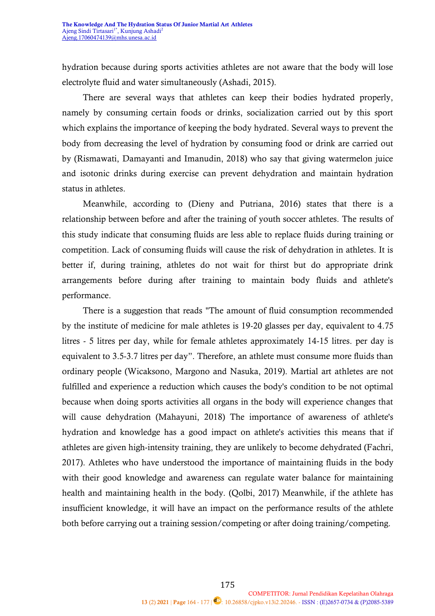hydration because during sports activities athletes are not aware that the body will lose electrolyte fluid and water simultaneously (Ashadi, 2015).

There are several ways that athletes can keep their bodies hydrated properly, namely by consuming certain foods or drinks, socialization carried out by this sport which explains the importance of keeping the body hydrated. Several ways to prevent the body from decreasing the level of hydration by consuming food or drink are carried out by (Rismawati, Damayanti and Imanudin, 2018) who say that giving watermelon juice and isotonic drinks during exercise can prevent dehydration and maintain hydration status in athletes.

Meanwhile, according to (Dieny and Putriana, 2016) states that there is a relationship between before and after the training of youth soccer athletes. The results of this study indicate that consuming fluids are less able to replace fluids during training or competition. Lack of consuming fluids will cause the risk of dehydration in athletes. It is better if, during training, athletes do not wait for thirst but do appropriate drink arrangements before during after training to maintain body fluids and athlete's performance.

There is a suggestion that reads "The amount of fluid consumption recommended by the institute of medicine for male athletes is 19-20 glasses per day, equivalent to 4.75 litres - 5 litres per day, while for female athletes approximately 14-15 litres. per day is equivalent to 3.5-3.7 litres per day". Therefore, an athlete must consume more fluids than ordinary people (Wicaksono, Margono and Nasuka, 2019). Martial art athletes are not fulfilled and experience a reduction which causes the body's condition to be not optimal because when doing sports activities all organs in the body will experience changes that will cause dehydration (Mahayuni, 2018) The importance of awareness of athlete's hydration and knowledge has a good impact on athlete's activities this means that if athletes are given high-intensity training, they are unlikely to become dehydrated (Fachri, 2017). Athletes who have understood the importance of maintaining fluids in the body with their good knowledge and awareness can regulate water balance for maintaining health and maintaining health in the body. (Qolbi, 2017) Meanwhile, if the athlete has insufficient knowledge, it will have an impact on the performance results of the athlete both before carrying out a training session/competing or after doing training/competing.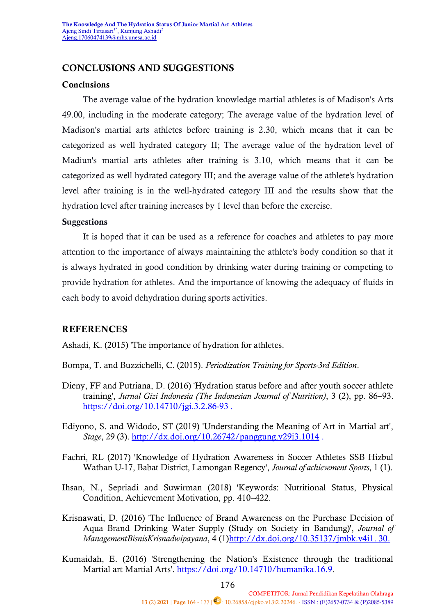## **CONCLUSIONS AND SUGGESTIONS**

#### **Conclusions**

The average value of the hydration knowledge martial athletes is of Madison's Arts 49.00, including in the moderate category; The average value of the hydration level of Madison's martial arts athletes before training is 2.30, which means that it can be categorized as well hydrated category II; The average value of the hydration level of Madiun's martial arts athletes after training is 3.10, which means that it can be categorized as well hydrated category III; and the average value of the athlete's hydration level after training is in the well-hydrated category III and the results show that the hydration level after training increases by 1 level than before the exercise.

#### **Suggestions**

It is hoped that it can be used as a reference for coaches and athletes to pay more attention to the importance of always maintaining the athlete's body condition so that it is always hydrated in good condition by drinking water during training or competing to provide hydration for athletes. And the importance of knowing the adequacy of fluids in each body to avoid dehydration during sports activities.

## **REFERENCES**

Ashadi, K. (2015) 'The importance of hydration for athletes.

- Bompa, T. and Buzzichelli, C. (2015). *Periodization Training for Sports-3rd Edition*.
- Dieny, FF and Putriana, D. (2016) 'Hydration status before and after youth soccer athlete training', *Jurnal Gizi Indonesia (The Indonesian Journal of Nutrition)*, 3 (2), pp. 86–93. <https://doi.org/10.14710/jgi.3.2.86-93>.
- Ediyono, S. and Widodo, ST (2019) 'Understanding the Meaning of Art in Martial art', *Stage*, 29 (3).<http://dx.doi.org/10.26742/panggung.v29i3.1014> .
- Fachri, RL (2017) 'Knowledge of Hydration Awareness in Soccer Athletes SSB Hizbul Wathan U-17, Babat District, Lamongan Regency', *Journal of achievement Sports*, 1 (1).
- Ihsan, N., Sepriadi and Suwirman (2018) 'Keywords: Nutritional Status, Physical Condition, Achievement Motivation, pp. 410–422.
- Krisnawati, D. (2016) 'The Influence of Brand Awareness on the Purchase Decision of Aqua Brand Drinking Water Supply (Study on Society in Bandung)', *Journal of ManagementBisnisKrisnadwipayana*, 4 (1[\)http://dx.doi.org/10.35137/jmbk.v4i1. 30.](http://dx.doi.org/10.35137/jmbk.v4i1.%2030)
- Kumaidah, E. (2016) 'Strengthening the Nation's Existence through the traditional Martial art Martial Arts'. [https://doi.org/10.14710/humanika.16.9.](https://doi.org/10.14710/humanika.16.9)